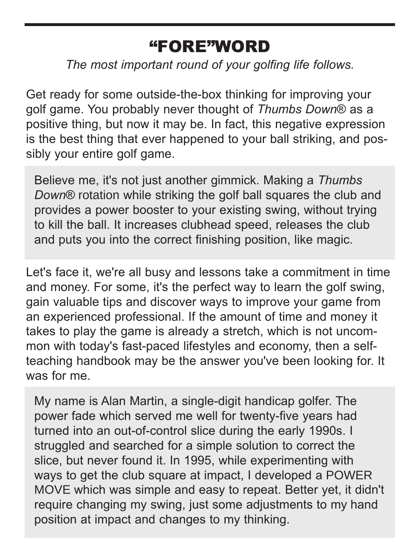## "FORE"WORD

*The most important round of your golfing life follows.*

Get ready for some outside-the-box thinking for improving your golf game. You probably never thought of *Thumbs Down*® as a positive thing, but now it may be. In fact, this negative expression is the best thing that ever happened to your ball striking, and possibly your entire golf game.

Believe me, it's not just another gimmick. Making a *Thumbs Down*® rotation while striking the golf ball squares the club and provides a power booster to your existing swing, without trying to kill the ball. It increases clubhead speed, releases the club and puts you into the correct finishing position, like magic.

Let's face it, we're all busy and lessons take a commitment in time and money. For some, it's the perfect way to learn the golf swing, gain valuable tips and discover ways to improve your game from an experienced professional. If the amount of time and money it takes to play the game is already a stretch, which is not uncommon with today's fast-paced lifestyles and economy, then a selfteaching handbook may be the answer you've been looking for. It was for me.

My name is Alan Martin, a single-digit handicap golfer. The power fade which served me well for twenty-five years had turned into an out-of-control slice during the early 1990s. I struggled and searched for a simple solution to correct the slice, but never found it. In 1995, while experimenting with ways to get the club square at impact, I developed a POWER MOVE which was simple and easy to repeat. Better yet, it didn't require changing my swing, just some adjustments to my hand position at impact and changes to my thinking.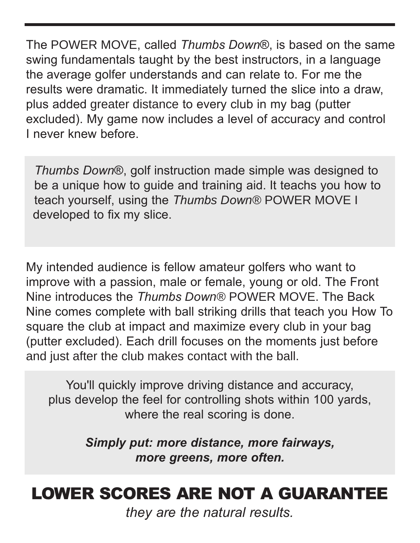The POWER MOVE, called *Thumbs Down*®, is based on the same swing fundamentals taught by the best instructors, in a language the average golfer understands and can relate to. For me the results were dramatic. It immediately turned the slice into a draw, plus added greater distance to every club in my bag (putter excluded). My game now includes a level of accuracy and control I never knew before.

*Thumbs Down*®, golf instruction made simple was designed to be a unique how to guide and training aid. It teachs you how to teach yourself, using the *Thumbs Down®* POWER MOVE I developed to fix my slice.

My intended audience is fellow amateur golfers who want to improve with a passion, male or female, young or old. The Front Nine introduces the *Thumbs Down®* POWER MOVE. The Back Nine comes complete with ball striking drills that teach you How To square the club at impact and maximize every club in your bag (putter excluded). Each drill focuses on the moments just before and just after the club makes contact with the ball.

You'll quickly improve driving distance and accuracy, plus develop the feel for controlling shots within 100 yards, where the real scoring is done.

> *Simply put: more distance, more fairways, more greens, more often.*

# LOWER SCORES ARE NOT A GUARANTEE

*they are the natural results.*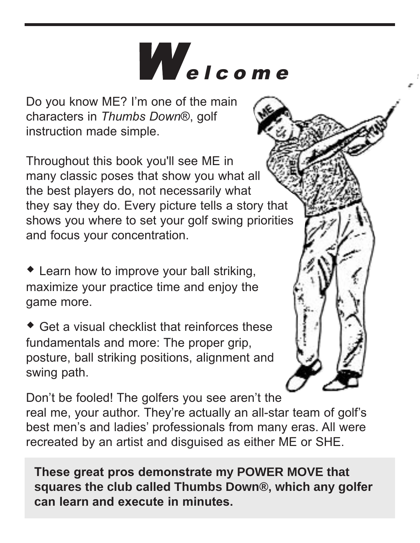# Welcome

Do you know ME? I'm one of the main characters in *Thumbs Down*®, golf instruction made simple.

Throughout this book you'll see ME in many classic poses that show you what all the best players do, not necessarily what they say they do. Every picture tells a story that shows you where to set your golf swing priorities and focus your concentration.

- Learn how to improve your ball striking, maximize your practice time and enjoy the game more.

- Get a visual checklist that reinforces these fundamentals and more: The proper grip. posture, ball striking positions, alignment and swing path.



Don't be fooled! The golfers you see aren't the real me, your author. They're actually an all-star team of golf's best men's and ladies' professionals from many eras. All were recreated by an artist and disguised as either ME or SHE.

**These great pros demonstrate my POWER MOVE that squares the club called Thumbs Down®, which any golfer can learn and execute in minutes.**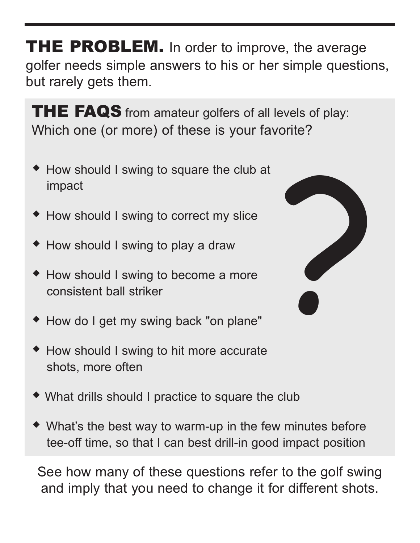**THE PROBLEM.** In order to improve, the average golfer needs simple answers to his or her simple questions, but rarely gets them.

THE FAQS from amateur golfers of all levels of play: Which one (or more) of these is your favorite?

- How should I swing to square the club at impact
- How should I swing to correct my slice
- How should I swing to play a draw
- How should I swing to become a more consistent ball striker
- How do I get my swing back "on plane"
- How should I swing to hit more accurate shots, more often
- What drills should I practice to square the club
- What's the best way to warm-up in the few minutes before tee-off time, so that I can best drill-in good impact position

See how many of these questions refer to the golf swing and imply that you need to change it for different shots.

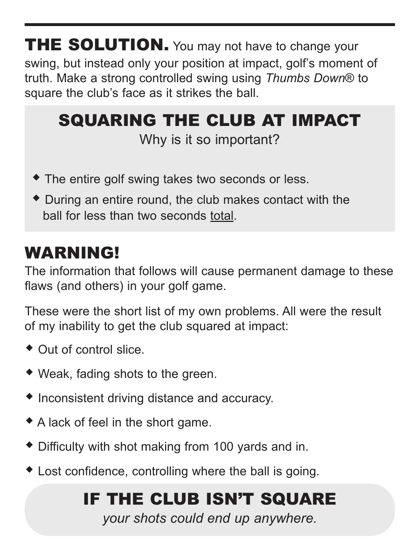**THE SOLUTION.** You may not have to change your swing, but instead only your position at impact, golf's moment of truth. Make a strong controlled swing using *Thumbs Down*® to square the club's face as it strikes the ball.

#### SQUARING THE CLUB AT IMPACT Why is it so important?

- The entire golf swing takes two seconds or less.
- During an entire round, the club makes contact with the ball for less than two seconds total.

## WARNING!

The information that follows will cause permanent damage to these flaws (and others) in your golf game.

These were the short list of my own problems. All were the result of my inability to get the club squared at impact:

- Out of control slice.
- Weak, fading shots to the green.
- Inconsistent driving distance and accuracy.
- A lack of feel in the short game.
- Difficulty with shot making from 100 yards and in.
- Lost confidence, controlling where the ball is going.

# IF THE CLUB ISN'T SQUARE

*your shots could end up anywhere.*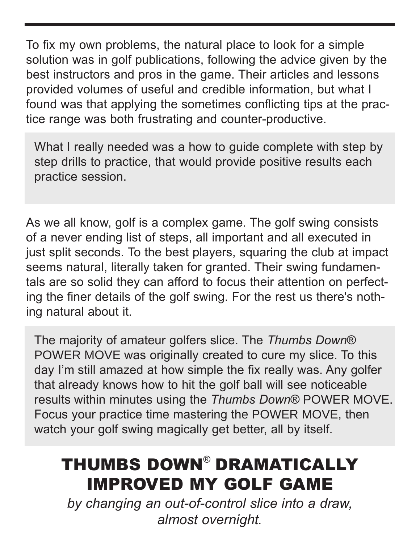To fix my own problems, the natural place to look for a simple solution was in golf publications, following the advice given by the best instructors and pros in the game. Their articles and lessons provided volumes of useful and credible information, but what I found was that applying the sometimes conflicting tips at the practice range was both frustrating and counter-productive.

What I really needed was a how to guide complete with step by step drills to practice, that would provide positive results each practice session.

As we all know, golf is a complex game. The golf swing consists of a never ending list of steps, all important and all executed in just split seconds. To the best players, squaring the club at impact seems natural, literally taken for granted. Their swing fundamentals are so solid they can afford to focus their attention on perfecting the finer details of the golf swing. For the rest us there's nothing natural about it.

The majority of amateur golfers slice. The *Thumbs Down*® POWER MOVE was originally created to cure my slice. To this day I'm still amazed at how simple the fix really was. Any golfer that already knows how to hit the golf ball will see noticeable results within minutes using the *Thumbs Down*® POWER MOVE. Focus your practice time mastering the POWER MOVE, then watch your golf swing magically get better, all by itself.

# THUMBS DOWN® DRAMATICALLY IMPROVED MY GOLF GAME

*by changing an out-of-control slice into a draw, almost overnight.*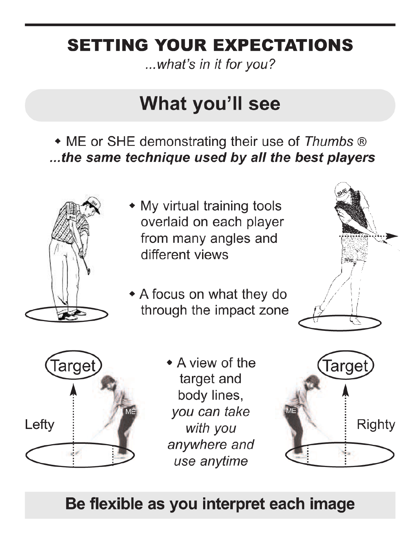# **SETTING YOUR EXPECTATIONS**

...what's in it for you?

# What you'll see

• ME or SHE demonstrating their use of Thumbs ® ...the same technique used by all the best players



- My virtual training tools overlaid on each player from many angles and different views
- A focus on what they do through the impact zone





• A view of the target and body lines, you can take with you anywhere and use anytime



## Be flexible as you interpret each image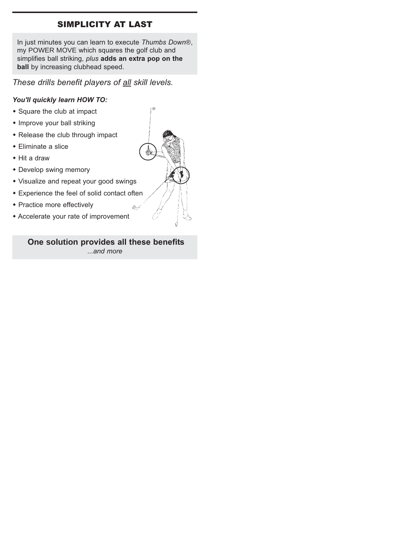# SIMPLICITY AT LAST

In just minutes you can learn to execute *Thumbs Down*®, my POWER MOVE which squares the golf club and simplifies ball striking, *plus* **adds an extra pop on the ball** by increasing clubhead speed.

# *These drills benefit players of all skill levels.*

#### *You'll quickly learn HOW TO:*

- Square the club at impact
- Improve your ball striking
- Release the club through impact
- Eliminate a slice
- Hit a draw
- **Develop swing memory**
- Visualize and repeat your good swings
- Experience the feel of solid contact often
- Practice more effectively
- Accelerate your rate of improvement

## **One solution provides all these benefits** *...and more*

DS 1